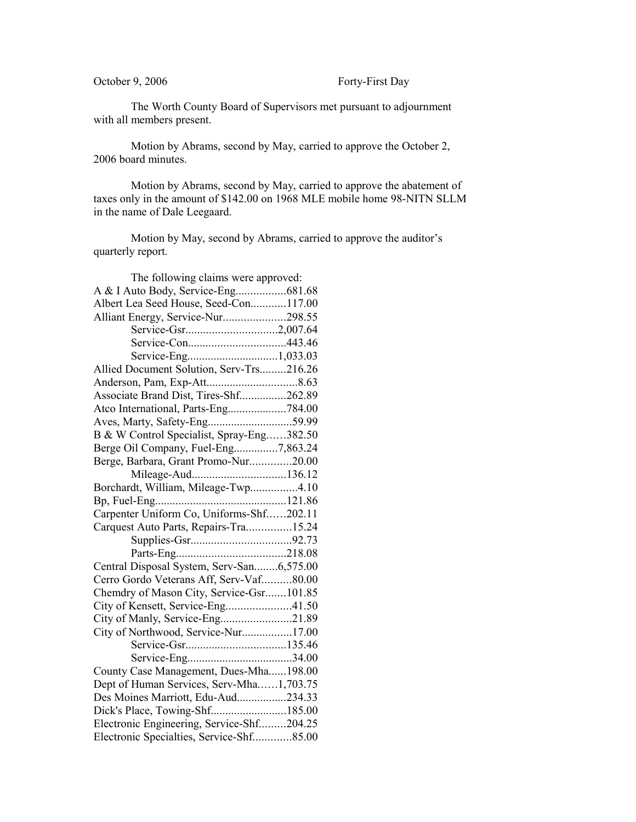## October 9, 2006 Forty-First Day

The Worth County Board of Supervisors met pursuant to adjournment with all members present.

Motion by Abrams, second by May, carried to approve the October 2, 2006 board minutes.

Motion by Abrams, second by May, carried to approve the abatement of taxes only in the amount of \$142.00 on 1968 MLE mobile home 98-NITN SLLM in the name of Dale Leegaard.

Motion by May, second by Abrams, carried to approve the auditor's quarterly report.

| The following claims were approved:       |  |
|-------------------------------------------|--|
|                                           |  |
| Albert Lea Seed House, Seed-Con117.00     |  |
| Alliant Energy, Service-Nur298.55         |  |
|                                           |  |
|                                           |  |
|                                           |  |
| Allied Document Solution, Serv-Trs216.26  |  |
|                                           |  |
| Associate Brand Dist, Tires-Shf262.89     |  |
| Atco International, Parts-Eng784.00       |  |
| Aves, Marty, Safety-Eng59.99              |  |
| B & W Control Specialist, Spray-Eng382.50 |  |
| Berge Oil Company, Fuel-Eng7,863.24       |  |
| Berge, Barbara, Grant Promo-Nur20.00      |  |
| Mileage-Aud136.12                         |  |
| Borchardt, William, Mileage-Twp4.10       |  |
|                                           |  |
| Carpenter Uniform Co, Uniforms-Shf202.11  |  |
| Carquest Auto Parts, Repairs-Tra15.24     |  |
|                                           |  |
|                                           |  |
| Central Disposal System, Serv-San6,575.00 |  |
| Cerro Gordo Veterans Aff, Serv-Vaf80.00   |  |
| Chemdry of Mason City, Service-Gsr101.85  |  |
| City of Kensett, Service-Eng41.50         |  |
| City of Manly, Service-Eng21.89           |  |
| City of Northwood, Service-Nur17.00       |  |
|                                           |  |
|                                           |  |
| County Case Management, Dues-Mha198.00    |  |
| Dept of Human Services, Serv-Mha1,703.75  |  |
| Des Moines Marriott, Edu-Aud234.33        |  |
| Dick's Place, Towing-Shf185.00            |  |
| Electronic Engineering, Service-Shf204.25 |  |
| Electronic Specialties, Service-Shf85.00  |  |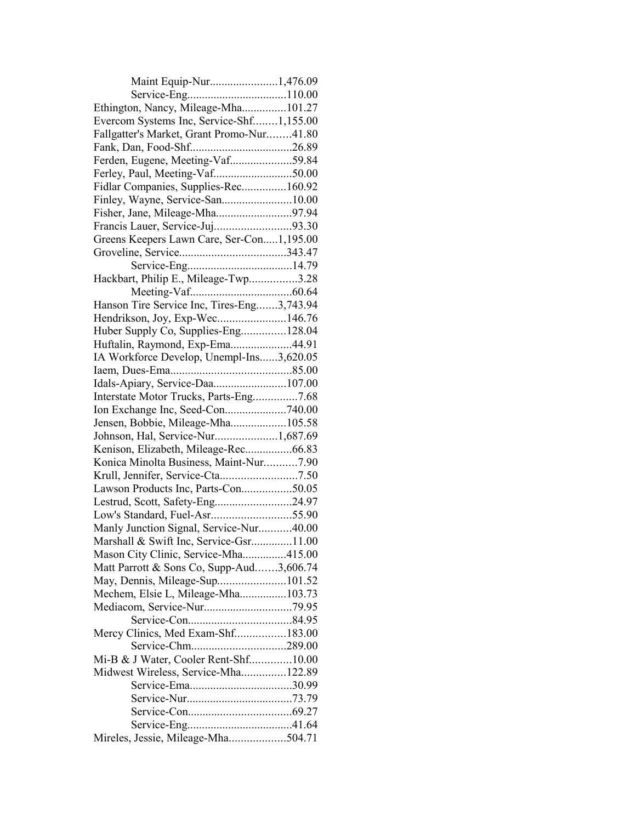| Maint Equip-Nur1,476.09                    |  |
|--------------------------------------------|--|
|                                            |  |
| Ethington, Nancy, Mileage-Mha101.27        |  |
| Evercom Systems Inc, Service-Shf1,155.00   |  |
| Fallgatter's Market, Grant Promo-Nur41.80  |  |
|                                            |  |
| Ferden, Eugene, Meeting-Vaf59.84           |  |
|                                            |  |
| Fidlar Companies, Supplies-Rec160.92       |  |
| Finley, Wayne, Service-San10.00            |  |
|                                            |  |
| Francis Lauer, Service-Juj93.30            |  |
| Greens Keepers Lawn Care, Ser-Con1,195.00  |  |
|                                            |  |
|                                            |  |
| Hackbart, Philip E., Mileage-Twp3.28       |  |
|                                            |  |
|                                            |  |
| Hanson Tire Service Inc, Tires-Eng3,743.94 |  |
| Hendrikson, Joy, Exp-Wec146.76             |  |
| Huber Supply Co, Supplies-Eng128.04        |  |
| Huftalin, Raymond, Exp-Ema44.91            |  |
| IA Workforce Develop, Unempl-Ins3,620.05   |  |
|                                            |  |
| Idals-Apiary, Service-Daa107.00            |  |
| Interstate Motor Trucks, Parts-Eng7.68     |  |
|                                            |  |
| Jensen, Bobbie, Mileage-Mha105.58          |  |
| Johnson, Hal, Service-Nur1,687.69          |  |
| Kenison, Elizabeth, Mileage-Rec66.83       |  |
| Konica Minolta Business, Maint-Nur7.90     |  |
|                                            |  |
| Lawson Products Inc, Parts-Con50.05        |  |
| Lestrud, Scott, Safety-Eng24.97            |  |
|                                            |  |
| Manly Junction Signal, Service-Nur40.00    |  |
| Marshall & Swift Inc, Service-Gsr11.00     |  |
| Mason City Clinic, Service-Mha415.00       |  |
| Matt Parrott & Sons Co, Supp-Aud3,606.74   |  |
| May, Dennis, Mileage-Sup101.52             |  |
| Mechem, Elsie L, Mileage-Mha103.73         |  |
|                                            |  |
|                                            |  |
| Mercy Clinics, Med Exam-Shf183.00          |  |
| Service-Chm289.00                          |  |
| Mi-B & J Water, Cooler Rent-Shf10.00       |  |
| Midwest Wireless, Service-Mha122.89        |  |
|                                            |  |
|                                            |  |
|                                            |  |
|                                            |  |
|                                            |  |
| Mireles, Jessie, Mileage-Mha504.71         |  |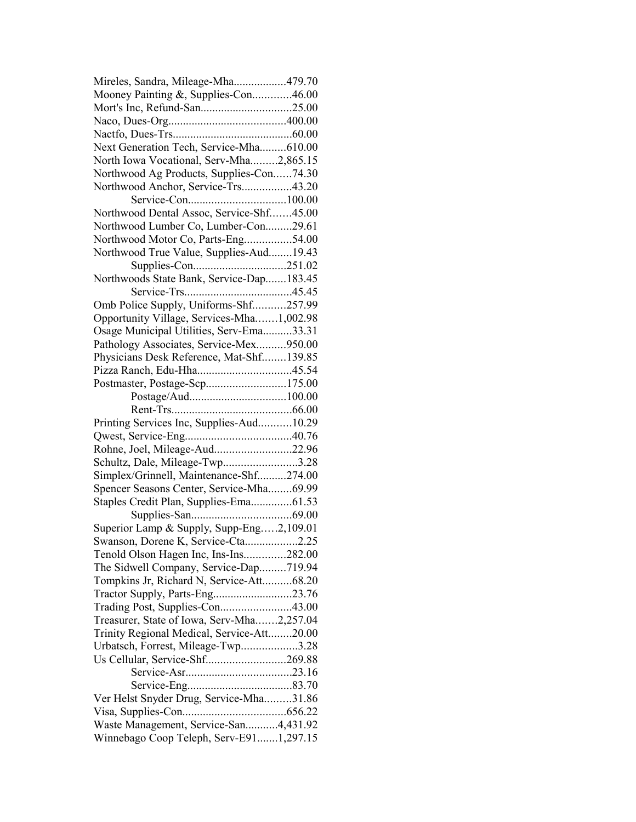| Mireles, Sandra, Mileage-Mha479.70                                |  |
|-------------------------------------------------------------------|--|
| Mooney Painting &, Supplies-Con46.00                              |  |
|                                                                   |  |
|                                                                   |  |
|                                                                   |  |
| Next Generation Tech, Service-Mha610.00                           |  |
| North Iowa Vocational, Serv-Mha2,865.15                           |  |
| Northwood Ag Products, Supplies-Con74.30                          |  |
| Northwood Anchor, Service-Trs43.20                                |  |
|                                                                   |  |
| Northwood Dental Assoc, Service-Shf45.00                          |  |
| Northwood Lumber Co, Lumber-Con29.61                              |  |
| Northwood Motor Co, Parts-Eng54.00                                |  |
| Northwood True Value, Supplies-Aud19.43                           |  |
|                                                                   |  |
| Northwoods State Bank, Service-Dap183.45                          |  |
|                                                                   |  |
| Omb Police Supply, Uniforms-Shf257.99                             |  |
| Opportunity Village, Services-Mha1,002.98                         |  |
| Osage Municipal Utilities, Serv-Ema33.31                          |  |
| Pathology Associates, Service-Mex950.00                           |  |
| Physicians Desk Reference, Mat-Shf139.85                          |  |
|                                                                   |  |
| Postmaster, Postage-Scp175.00                                     |  |
|                                                                   |  |
|                                                                   |  |
| Printing Services Inc, Supplies-Aud10.29                          |  |
|                                                                   |  |
| Rohne, Joel, Mileage-Aud22.96                                     |  |
| Schultz, Dale, Mileage-Twp3.28                                    |  |
| Simplex/Grinnell, Maintenance-Shf274.00                           |  |
| Spencer Seasons Center, Service-Mha69.99                          |  |
| Staples Credit Plan, Supplies-Ema61.53                            |  |
|                                                                   |  |
| Superior Lamp & Supply, Supp-Eng2,109.01                          |  |
| Swanson, Dorene K, Service-Cta2.25                                |  |
| Tenold Olson Hagen Inc, Ins-Ins282.00                             |  |
| The Sidwell Company, Service-Dap719.94                            |  |
| Tompkins Jr, Richard N, Service-Att68.20                          |  |
|                                                                   |  |
| Tractor Supply, Parts-Eng23.76<br>Trading Post, Supplies-Con43.00 |  |
| Treasurer, State of Iowa, Serv-Mha2,257.04                        |  |
|                                                                   |  |
| Trinity Regional Medical, Service-Att20.00                        |  |
| Urbatsch, Forrest, Mileage-Twp3.28                                |  |
| Us Cellular, Service-Shf269.88                                    |  |
|                                                                   |  |
|                                                                   |  |
| Ver Helst Snyder Drug, Service-Mha31.86                           |  |
|                                                                   |  |
| Waste Management, Service-San4,431.92                             |  |
| Winnebago Coop Teleph, Serv-E911,297.15                           |  |